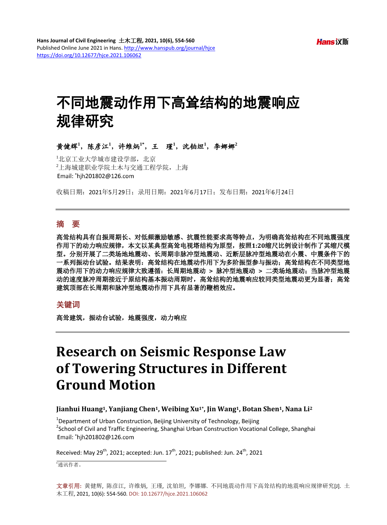# 不同地震动作用下高耸结构的地震响应 规律研究

黄健辉<sup>1</sup>,陈彦江<sup>1</sup>,许维炳<sup>1\*</sup>,王 瑾<sup>1</sup>,沈铂坦<sup>1</sup>,李娜娜<sup>2</sup>

1北京工业大学城市建设学部, 北京 2 上海城建职业学院土木与交通工程学院,上海 Email: \*hjh201802@126.com

收稿日期:2021年5月29日;录用日期:2021年6月17日;发布日期:2021年6月24日

# 摘 要

高耸结构具有自振周期长、对低频激励敏感、抗震性能要求高等特点,为明确高耸结构在不同地震强度 作用下的动力响应规律,本文以某典型高耸电视塔结构为原型,按照**1:20**缩尺比例设计制作了其缩尺模 型。分别开展了二类场地地震动、长周期非脉冲型地震动、近断层脉冲型地震动在小震、中震条件下的 一系列振动台试验。结果表明:高耸结构在地震动作用下为多阶振型参与振动;高耸结构在不同类型地 震动作用下的动力响应规律大致遵循:长周期地震动 **>** 脉冲型地震动 **>** 二类场地震动;当脉冲型地震 动的速度脉冲周期接近于原结构基本振动周期时,高耸结构的地震响应较同类型地震动更为显著;高耸 建筑顶部在长周期和脉冲型地震动作用下具有显著的鞭梢效应。

## 关键词

高耸建筑,振动台试验,地震强度,动力响应

# **Research on Seismic Response Law of Towering Structures in Different Ground Motion**

#### **Jianhui Huang1, Yanjiang Chen1, Weibing Xu1\*, Jin Wang1, Botan Shen1, Nana Li2**

<sup>1</sup>Department of Urban Construction, Beijing University of Technology, Beijing<br><sup>2</sup>Sebool of Civil and Traffic Engineering, Shangbai Urban Construction Vecatio <sup>2</sup>School of Civil and Traffic Engineering, Shanghai Urban Construction Vocational College, Shanghai Email: \*hjh201802@126.com

Received: May 29<sup>th</sup>, 2021; accepted: Jun.  $17<sup>th</sup>$ , 2021; published: Jun. 24<sup>th</sup>, 2021

\* 通讯作者。

文章引用**:** 黄健辉, 陈彦江, 许维炳, 王瑾, 沈铂坦, 李娜娜. 不同地震动作用下高耸结构的地震响应规律研究[J]. 土 木工程, 2021, 10(6): 554-560. DOI[: 10.12677/hjce.2021.106062](https://doi.org/10.12677/hjce.2021.106062)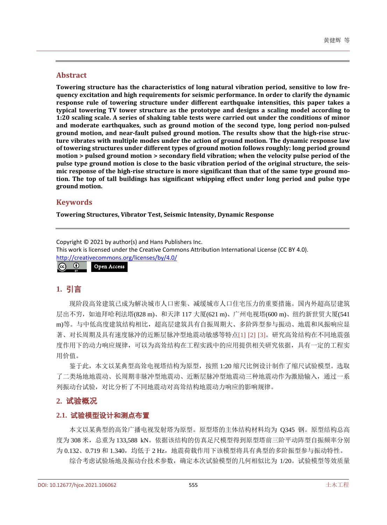#### **Abstract**

**Towering structure has the characteristics of long natural vibration period, sensitive to low frequency excitation and high requirements for seismic performance. In order to clarify the dynamic response rule of towering structure under different earthquake intensities, this paper takes a typical towering TV tower structure as the prototype and designs a scaling model according to 1:20 scaling scale. A series of shaking table tests were carried out under the conditions of minor and moderate earthquakes, such as ground motion of the second type, long period non-pulsed ground motion, and near-fault pulsed ground motion. The results show that the high-rise structure vibrates with multiple modes under the action of ground motion. The dynamic response law of towering structures under different types of ground motion follows roughly: long period ground motion > pulsed ground motion > secondary field vibration; when the velocity pulse period of the pulse type ground motion is close to the basic vibration period of the original structure, the seismic response of the high-rise structure is more significant than that of the same type ground motion. The top of tall buildings has significant whipping effect under long period and pulse type ground motion.**

#### **Keywords**

**Towering Structures, Vibrator Test, Seismic Intensity, Dynamic Response**

Copyright © 2021 by author(s) and Hans Publishers Inc. This work is licensed under the Creative Commons Attribution International License (CC BY 4.0). <http://creativecommons.org/licenses/by/4.0/>  $\odot$ Open Access $\sqrt{c}$ 

# **1.** 引言

现阶段高耸建筑已成为解决城市人口密集、减缓城市人口住宅压力的重要措施。国内外超高层建筑 层出不穷,如迪拜哈利法塔(828 m)、和天津 117 大厦(621 m)、广州电视塔(600 m)、纽约新世贸大厦(541 m)等。与中低高度建筑结构相比,超高层建筑具有自振周期大、多阶阵型参与振动、地震和风振响应显 著、对长周期及具有速度脉冲的近断层脉冲型地震动敏感等特点[\[1\]](#page-6-0) [\[2\]](#page-6-1) [\[3\]](#page-6-2)。研究高耸结构在不同地震强 度作用下的动力响应规律,可以为高耸结构在工程实践中的应用提供相关研究依据,具有一定的工程实 用价值。

鉴于此,本文以某典型高耸电视塔结构为原型,按照 1:20 缩尺比例设计制作了缩尺试验模型。选取 了二类场地地震动、长周期非脉冲型地震动、近断层脉冲型地震动三种地震动作为激励输入,通过一系 列振动台试验,对比分析了不同地震动对高耸结构地震动力响应的影响规律。

#### **2.** 试验概况

#### **2.1.** 试验模型设计和测点布置

本文以某典型的高耸广播电视发射塔为原型。原型塔的主体结构材料均为 Q345 钢。原型结构总高 度为 308 米, 总重为 133,588 kN。依据该结构的仿真足尺模型得到原型塔前三阶平动阵型自振频率分别 为 0.132、0.719 和 1.340, 均低于 2 Hz, 地震荷载作用下该模型将具有典型的多阶振型参与振动特性。 综合考虑试验场地及振动台技术参数,确定本次试验模型的几何相似比为 1/20。试验模型等效质量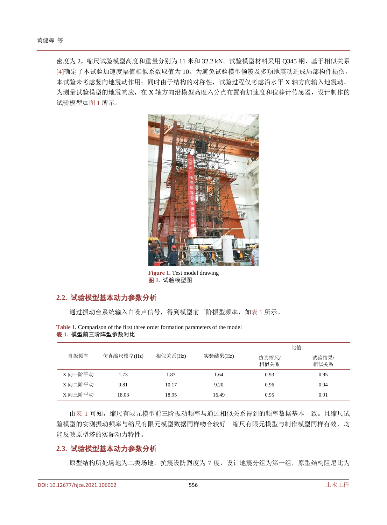<span id="page-2-0"></span>密度为 2,缩尺试验模型高度和重量分别为 11 米和 32.2 kN。试验模型材料采用 Q345 钢,基于相似关系 [\[4\]](#page-6-3)确定了本试验加速度幅值相似系数取值为 10。为避免试验模型倾覆及多项地震动造成局部构件损伤, 本试验未考虑竖向地震动作用;同时由于结构的对称性,试验过程仅考虑沿水平 X 轴方向输入地震动。 为测量试验模型的地震响应,在 X 轴方向沿模型高度六分点布置有加速度和位移计传感器, 设计制作的 试验模型[如图](#page-2-0) 1 所示。



**Figure 1.** Test model drawing 图 **1.** 试验模型图

### **2.2.** 试验模型基本动力参数分析

通过振动台系统输入白噪声信号, 得到模型前三阶振型频率, [如表](#page-2-1) 1 所示。

| 自振频率    | 仿真缩尺模型(Hz) | 相似关系(Hz) |          | 比值            |               |  |
|---------|------------|----------|----------|---------------|---------------|--|
|         |            |          | 实验结果(Hz) | 仿真缩尺/<br>相似关系 | 试验结果/<br>相似关系 |  |
| X 向一阶平动 | 1.73       | 1.87     | 1.64     | 0.93          | 0.95          |  |
| X 向二阶平动 | 9.81       | 10.17    | 9.20     | 0.96          | 0.94          |  |
| X 向三阶平动 | 18.03      | 18.95    | 16.49    | 0.95          | 0.91          |  |

<span id="page-2-1"></span>**Table 1.** Comparison of the first three order formation parameters of the model 表 **1.** 模型前三阶阵型参数对比

[由表](#page-2-1) 1 可知,缩尺有限元模型前三阶振动频率与通过相似关系得到的频率数据基本一致。且缩尺试 验模型的实测振动频率与缩尺有限元模型数据同样吻合较好。缩尺有限元模型与制作模型同样有效,均 能反映原型塔的实际动力特性。

#### **2.3.** 试验模型基本动力参数分析

原型结构所处场地为二类场地,抗震设防烈度为 7 度, 设计地震分组为第一组, 原型结构阻尼比为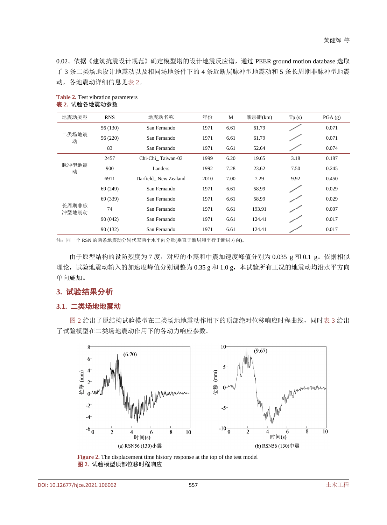0.02。依据《建筑抗震设计规范》确定模型塔的设计地震反应谱,通过 PEER ground motion database 选取 了 3 条二类场地设计地震动以及相同场地条件下的 4 条近断层脉冲型地震动和 5 条长周期非脉冲型地震 动,各地震动详细信息[见表](#page-3-0) 2。

| 地震动类型          | <b>RNS</b> | 地震动名称                | 年份   | M    | 断层距(km) | Tp(s) | PGA(g) |
|----------------|------------|----------------------|------|------|---------|-------|--------|
|                | 56 (130)   | San Fernando         | 1971 | 6.61 | 61.79   |       | 0.071  |
| 二类场地震<br>动     | 56 (220)   | San Fernando         | 1971 | 6.61 | 61.79   |       | 0.071  |
|                | 83         | San Fernando         | 1971 | 6.61 | 52.64   |       | 0.074  |
| 脉冲型地震<br>动     | 2457       | Chi-Chi Taiwan-03    | 1999 | 6.20 | 19.65   | 3.18  | 0.187  |
|                | 900        | Landers              | 1992 | 7.28 | 23.62   | 7.50  | 0.245  |
|                | 6911       | Darfield New Zealand | 2010 | 7.00 | 7.29    | 9.92  | 0.450  |
| 长周期非脉<br>冲型地震动 | 69 (249)   | San Fernando         | 1971 | 6.61 | 58.99   |       | 0.029  |
|                | 69 (339)   | San Fernando         | 1971 | 6.61 | 58.99   |       | 0.029  |
|                | 74         | San Fernando         | 1971 | 6.61 | 193.91  |       | 0.007  |
|                | 90 (042)   | San Fernando         | 1971 | 6.61 | 124.41  |       | 0.017  |
|                | 90 (132)   | San Fernando         | 1971 | 6.61 | 124.41  |       | 0.017  |

<span id="page-3-0"></span>**Table 2.** Test vibration parameters 表 **2.** 试验各地震动参数

注:同一个 RSN 的两条地震动分别代表两个水平向分量(垂直于断层和平行于断层方向)。

由于原型结构的设防烈度为 7 度,对应的小震和中震加速度峰值分别为 0.035 g 和 0.1 g。依据相似 理论,试验地震动输入的加速度峰值分别调整为 0.35 g 和 1.0 g, 本试验所有工况的地震动均沿水平方向 单向施加。

# **3.** 试验结果分析

#### **3.1.** 二类场地地震动

<span id="page-3-1"></span>[图](#page-3-1) 2 给出了原结构试验模型在二类场地地震动作用下的顶部绝对位移响应时程曲线,同[时表](#page-4-0) 3 给出 了试验模型在二类场地震动作用下的各动力响应参数。



**Figure 2.** The displacement time history response at the top of the test model 图 **2.** 试验模型顶部位移时程响应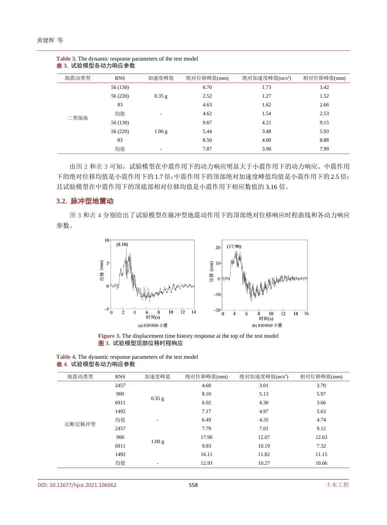| 地震动类型 | <b>RNS</b> | 加速度峰值             | 绝对位移峰值(mm) | 绝对加速度峰值(m/s <sup>2</sup> ) | 相对位移峰值(mm) |
|-------|------------|-------------------|------------|----------------------------|------------|
|       | 56 (130)   |                   | 6.70       | 1.73                       | 3.42       |
|       | 56 (220)   | $0.35$ g          | 2.52       | 1.27                       | 1.52       |
|       | 83         |                   | 4.63       | 1.62                       | 2.66       |
| 二类场地  | 均值         | -                 | 4.62       | 1.54                       | 2.53       |
|       | 56 (130)   |                   | 9.67       | 4.21                       | 9.15       |
|       | 56 (220)   | 1.00 <sub>g</sub> | 5.44       | 3.48                       | 5.93       |
|       | 83         |                   | 8.50       | 4.00                       | 8.88       |
|       | 均值         | ٠.                | 7.87       | 3.90                       | 7.99       |

<span id="page-4-0"></span>**Table 3.** The dynamic response parameters of the test model 表 **3.** 试验模型各动力响应参数

[由图](#page-3-1) 2 [和表](#page-4-0) 3 可知,试验模型在中震作用下的动力响应明显大于小震作用下的动力响应。中震作用 下的绝对位移均值是小震作用下的 1.7 倍;中震作用下的顶部绝对加速度峰值均值是小震作用下的 2.5 倍; 且试验模型在中震作用下的顶底部相对位移均值是小震作用下相应数值的 3.16 倍。

### **3.2.** 脉冲型地震动

<span id="page-4-1"></span>[图](#page-4-1) 3 [和表](#page-4-2) 4 分别给出了试验模型在脉冲型地震动作用下的顶部绝对位移响应时程曲线和各动力响应 参数。



**Figure 3.** The displacement time history response at the top of the test model 图 **3.** 试验模型顶部位移时程响应

| 地震动类型  | <b>RNS</b> | 加速度峰值                    | 绝对位移峰值(mm) | 绝对加速度峰值(m/s <sup>2</sup> ) | 相对位移峰值(mm) |
|--------|------------|--------------------------|------------|----------------------------|------------|
|        |            |                          |            |                            |            |
|        | 2457       |                          | 4.68       | 3.01                       | 3.70       |
|        | 900        | $0.35$ g                 | 8.10       | 5.13                       | 5.97       |
|        | 6911       |                          | 6.02       | 4.30                       | 3.66       |
|        | 1492       |                          | 7.17       | 4.97                       | 5.63       |
| 近断层脉冲型 | 均值         | $\overline{\phantom{0}}$ | 6.49       | 4.35                       | 4.74       |
|        | 2457       |                          | 7.79       | 7.01                       | 9.12       |
|        | 900        |                          | 17.90      | 12.07                      | 12.63      |
|        | 6911       | 1.00 g                   | 9.93       | 10.19                      | 7.32       |
|        | 1492       |                          | 16.11      | 11.82                      | 11.15      |
|        | 均值         | -                        | 12.93      | 10.27                      | 10.06      |

<span id="page-4-2"></span>**Table 4.** The dynamic response parameters of the test model 表 **4.** 试验模型各动力响应参数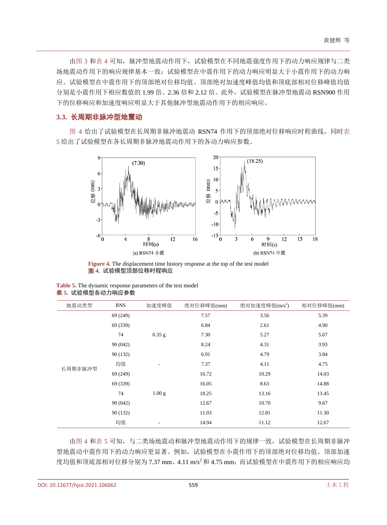[由图](#page-4-1) 3 [和表](#page-4-2) 4 可知,脉冲型地震动作用下,试验模型在不同地震强度作用下的动力响应规律与二类 场地震动作用下的响应规律基本一致:试验模型在中震作用下的动力响应明显大于小震作用下的动力响 应。试验模型在中震作用下的顶部绝对位移均值、顶部绝对加速度峰值均值和顶底部相对位移峰值均值 分别是小震作用下相应数值的 1.99 倍、2.36 倍和 2.12 倍。此外,试验模型在脉冲型地震动 RSN900 作用 下的位移响应和加速度响应明显大于其他脉冲型地震动作用下的相应响应。

## **3.3.** 长周期非脉冲型地震动

<span id="page-5-0"></span>[图](#page-5-0) 4 给出了试验模型在长周期非脉冲地震动 RSN74 作用下的顶部绝对位移响应时程曲线,同[时表](#page-5-1) [5](#page-5-1) 给出了试验模型在各长周期非脉冲地震动作用下的各动力响应参数。



**Figure 4.** The displacement time history response at the top of the test model 图 **4.** 试验模型顶部位移时程响应

<span id="page-5-1"></span>

| <b>Table 5.</b> The dynamic response parameters of the test model |
|-------------------------------------------------------------------|
| <b>表 5.</b> 试验模型各动力响应参数                                           |

| 地震动类型   | <b>RNS</b> | 加速度峰值             | 绝对位移峰值(mm) | 绝对加速度峰值 $(m/s^2)$ | 相对位移峰值(mm) |
|---------|------------|-------------------|------------|-------------------|------------|
|         | 69 (249)   |                   | 7.57       | 3.56              | 5.39       |
|         | 69 (339)   |                   | 6.84       | 2.61              | 4.90       |
|         | 74         | $0.35$ g          | 7.30       | 5.27              | 5.67       |
|         | 90(042)    |                   | 8.24       | 4.31              | 3.93       |
|         | 90(132)    |                   | 6.91       | 4.79              | 3.84       |
| 长周期非脉冲型 | 均值         |                   | 7.37       | 4.11              | 4.75       |
|         | 69 (249)   |                   | 16.72      | 10.29             | 14.03      |
|         | 69 (339)   |                   | 16.05      | 8.63              | 14.88      |
|         | 74         | 1.00 <sub>g</sub> | 18.25      | 13.16             | 13.45      |
|         | 90 (042)   |                   | 12.67      | 10.70             | 9.67       |
|         | 90(132)    |                   | 11.03      | 12.81             | 11.30      |
|         | 均值         |                   | 14.94      | 11.12             | 12.67      |

[由图](#page-5-0) 4 [和表](#page-5-1) 5 可知,与二类场地震动和脉冲型地震动作用下的规律一致,试试验模型在长周期非脉冲 型地震动中震作用下的动力响应更显著。例如,试验模型在小震作用下的顶部绝对位移均值、顶部加速 度均值和顶底部相对位移分别为 7.37 mm、4.11 m/s2和 4.75 mm;而试验模型在中震作用下的相应响应均